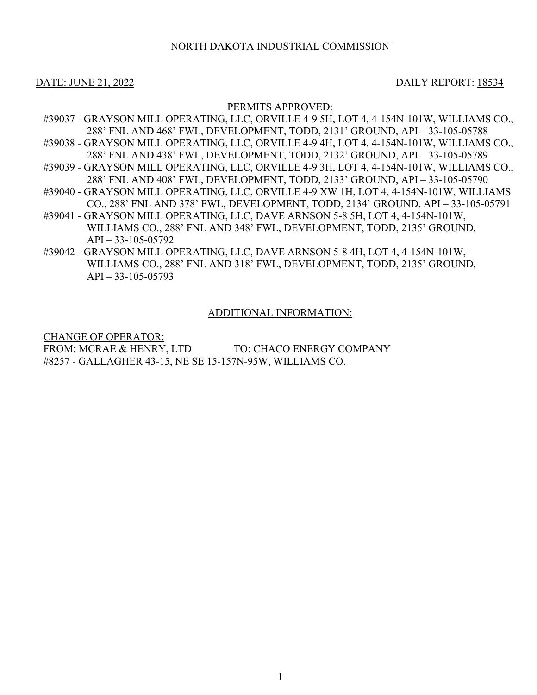# NORTH DAKOTA INDUSTRIAL COMMISSION

## DATE: JUNE 21, 2022 DAILY REPORT: 18534

### PERMITS APPROVED:

- #39037 GRAYSON MILL OPERATING, LLC, ORVILLE 4-9 5H, LOT 4, 4-154N-101W, WILLIAMS CO., 288' FNL AND 468' FWL, DEVELOPMENT, TODD, 2131' GROUND, API – 33-105-05788 #39038 - GRAYSON MILL OPERATING, LLC, ORVILLE 4-9 4H, LOT 4, 4-154N-101W, WILLIAMS CO., 288' FNL AND 438' FWL, DEVELOPMENT, TODD, 2132' GROUND, API – 33-105-05789 #39039 - GRAYSON MILL OPERATING, LLC, ORVILLE 4-9 3H, LOT 4, 4-154N-101W, WILLIAMS CO., 288' FNL AND 408' FWL, DEVELOPMENT, TODD, 2133' GROUND, API – 33-105-05790 #39040 - GRAYSON MILL OPERATING, LLC, ORVILLE 4-9 XW 1H, LOT 4, 4-154N-101W, WILLIAMS CO., 288' FNL AND 378' FWL, DEVELOPMENT, TODD, 2134' GROUND, API – 33-105-05791 #39041 - GRAYSON MILL OPERATING, LLC, DAVE ARNSON 5-8 5H, LOT 4, 4-154N-101W, WILLIAMS CO., 288' FNL AND 348' FWL, DEVELOPMENT, TODD, 2135' GROUND,  $API - 33-105-05792$ #39042 - GRAYSON MILL OPERATING, LLC, DAVE ARNSON 5-8 4H, LOT 4, 4-154N-101W,
- WILLIAMS CO., 288' FNL AND 318' FWL, DEVELOPMENT, TODD, 2135' GROUND,  $API - 33-105-05793$

### ADDITIONAL INFORMATION:

CHANGE OF OPERATOR: FROM: MCRAE & HENRY, LTD TO: CHACO ENERGY COMPANY #8257 - GALLAGHER 43-15, NE SE 15-157N-95W, WILLIAMS CO.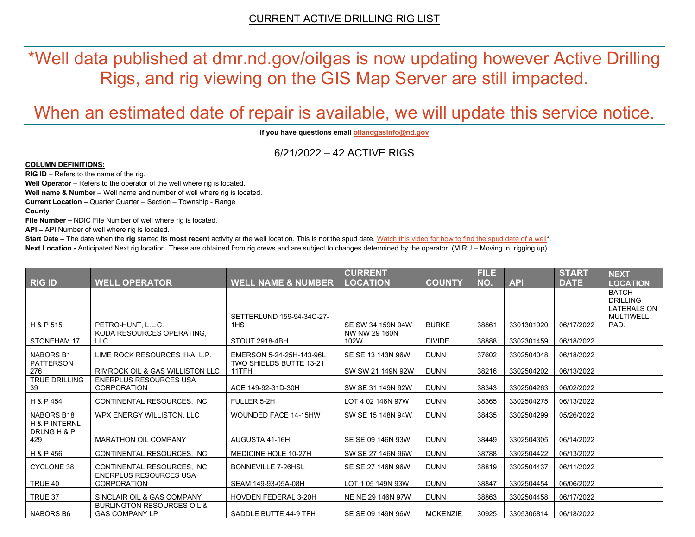\*Well data published at dmr.nd.gov/oilgas is now updating however Active Drilling Rigs, and rig viewing on the GIS Map Server are still impacted.

# When an estimated date of repair is available, we will update this service notice.

**If you have questions emai[l oilandgasinfo@nd.gov](mailto:oilandgasinfo@nd.gov)**

6/21/2022 – 42 ACTIVE RIGS

#### **COLUMN DEFINITIONS:**

**RIG ID** – Refers to the name of the rig.

**Well Operator** – Refers to the operator of the well where rig is located.

**Well name & Number** – Well name and number of well where rig is located.

**Current Location –** Quarter Quarter – Section – Township - Range

**County**

**File Number –** NDIC File Number of well where rig is located.

**API –** API Number of well where rig is located.

**Start Date** – The date when the **rig** started its most recent activity at the well location. This is not the spud date. Watch this video for how [to find the spud date of a well\\*](https://youtu.be/JjWwzuuMVpM). **Next Location -** Anticipated Next rig location. These are obtained from rig crews and are subject to changes determined by the operator. (MIRU – Moving in, rigging up)

|                                                |                                                                |                                         | <b>CURRENT</b>        |                 | <b>FILE</b> |            | <b>START</b> | <b>NEXT</b>                                                               |
|------------------------------------------------|----------------------------------------------------------------|-----------------------------------------|-----------------------|-----------------|-------------|------------|--------------|---------------------------------------------------------------------------|
| RIG ID                                         | <b>WELL OPERATOR</b>                                           | <b>WELL NAME &amp; NUMBER</b>           | <b>LOCATION</b>       | <b>COUNTY</b>   | NO.         | <b>API</b> | <b>DATE</b>  | <b>LOCATION</b>                                                           |
|                                                |                                                                | SETTERLUND 159-94-34C-27-               |                       |                 |             |            |              | <b>BATCH</b><br><b>DRILLING</b><br><b>LATERALS ON</b><br><b>MULTIWELL</b> |
| H & P 515                                      | PETRO-HUNT, L.L.C.                                             | 1HS                                     | SE SW 34 159N 94W     | <b>BURKE</b>    | 38861       | 3301301920 | 06/17/2022   | PAD.                                                                      |
| STONEHAM 17                                    | KODA RESOURCES OPERATING,<br>LLC.                              | STOUT 2918-4BH                          | NW NW 29 160N<br>102W | <b>DIVIDE</b>   | 38888       | 3302301459 | 06/18/2022   |                                                                           |
| <b>NABORS B1</b>                               | LIME ROCK RESOURCES III-A, L.P.                                | EMERSON 5-24-25H-143-96L                | SE SE 13 143N 96W     | <b>DUNN</b>     | 37602       | 3302504048 | 06/18/2022   |                                                                           |
| <b>PATTERSON</b><br>276                        | <b>RIMROCK OIL &amp; GAS WILLISTON LLC</b>                     | <b>TWO SHIELDS BUTTE 13-21</b><br>11TFH | SW SW 21 149N 92W     | <b>DUNN</b>     | 38216       | 3302504202 | 06/13/2022   |                                                                           |
| <b>TRUE DRILLING</b><br>39                     | <b>ENERPLUS RESOURCES USA</b><br><b>CORPORATION</b>            | ACE 149-92-31D-30H                      | SW SE 31 149N 92W     | <b>DUNN</b>     | 38343       | 3302504263 | 06/02/2022   |                                                                           |
| H & P 454                                      | CONTINENTAL RESOURCES, INC.                                    | FULLER 5-2H                             | LOT 4 02 146N 97W     | <b>DUNN</b>     | 38365       | 3302504275 | 06/13/2022   |                                                                           |
| NABORS B18                                     | WPX ENERGY WILLISTON, LLC                                      | <b>WOUNDED FACE 14-15HW</b>             | SW SE 15 148N 94W     | <b>DUNN</b>     | 38435       | 3302504299 | 05/26/2022   |                                                                           |
| <b>H &amp; P INTERNL</b><br>DRLNG H & P<br>429 | <b>MARATHON OIL COMPANY</b>                                    | AUGUSTA 41-16H                          | SE SE 09 146N 93W     | <b>DUNN</b>     | 38449       | 3302504305 | 06/14/2022   |                                                                           |
| H & P 456                                      | CONTINENTAL RESOURCES, INC.                                    | MEDICINE HOLE 10-27H                    | SW SE 27 146N 96W     | <b>DUNN</b>     | 38788       | 3302504422 | 06/13/2022   |                                                                           |
| CYCLONE 38                                     | CONTINENTAL RESOURCES. INC.                                    | <b>BONNEVILLE 7-26HSL</b>               | SE SE 27 146N 96W     | <b>DUNN</b>     | 38819       | 3302504437 | 06/11/2022   |                                                                           |
| TRUE 40                                        | <b>ENERPLUS RESOURCES USA</b><br><b>CORPORATION</b>            | SEAM 149-93-05A-08H                     | LOT 1 05 149N 93W     | <b>DUNN</b>     | 38847       | 3302504454 | 06/06/2022   |                                                                           |
| TRUE 37                                        | SINCLAIR OIL & GAS COMPANY                                     | <b>HOVDEN FEDERAL 3-20H</b>             | NE NE 29 146N 97W     | <b>DUNN</b>     | 38863       | 3302504458 | 06/17/2022   |                                                                           |
| <b>NABORS B6</b>                               | <b>BURLINGTON RESOURCES OIL &amp;</b><br><b>GAS COMPANY LP</b> | SADDLE BUTTE 44-9 TFH                   | SE SE 09 149N 96W     | <b>MCKENZIE</b> | 30925       | 3305306814 | 06/18/2022   |                                                                           |